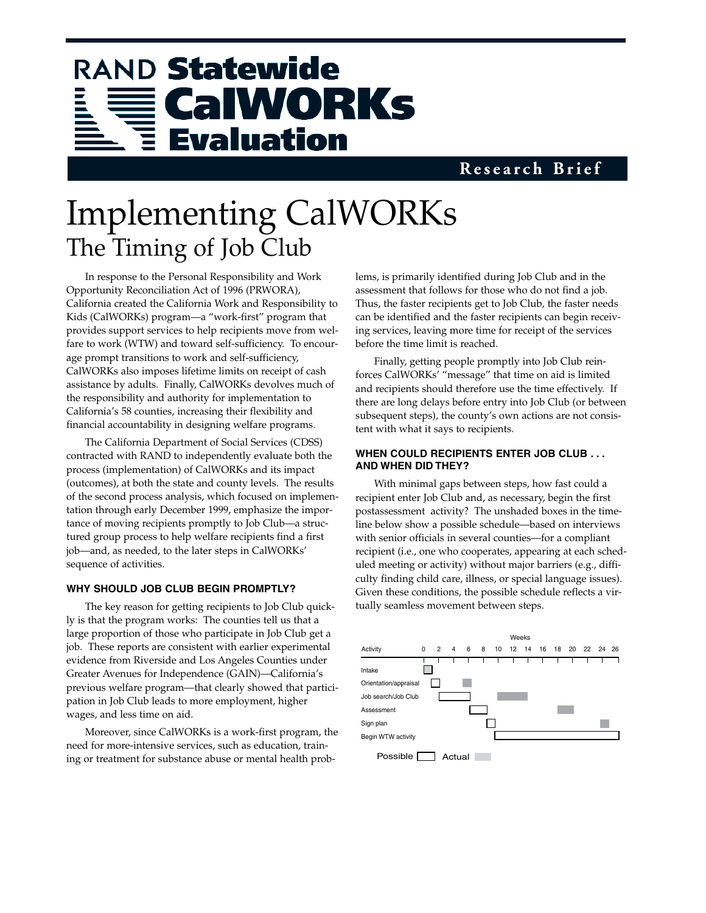# RAND Statewide **CalWORKs Evaluation**

### **Research Brief**

## Implementing CalWORKs The Timing of Job Club

In response to the Personal Responsibility and Work Opportunity Reconciliation Act of 1996 (PRWORA), California created the California Work and Responsibility to Kids (CalWORKs) program—a "work-first" program that provides support services to help recipients move from welfare to work (WTW) and toward self-sufficiency. To encourage prompt transitions to work and self-sufficiency, CalWORKs also imposes lifetime limits on receipt of cash assistance by adults. Finally, CalWORKs devolves much of the responsibility and authority for implementation to California's 58 counties, increasing their flexibility and financial accountability in designing welfare programs.

The California Department of Social Services (CDSS) contracted with RAND to independently evaluate both the process (implementation) of CalWORKs and its impact (outcomes), at both the state and county levels. The results of the second process analysis, which focused on implementation through early December 1999, emphasize the importance of moving recipients promptly to Job Club—a structured group process to help welfare recipients find a first job—and, as needed, to the later steps in CalWORKs' sequence of activities.

#### **WHY SHOULD JOB CLUB BEGIN PROMPTLY?**

The key reason for getting recipients to Job Club quickly is that the program works: The counties tell us that a large proportion of those who participate in Job Club get a job. These reports are consistent with earlier experimental evidence from Riverside and Los Angeles Counties under Greater Avenues for Independence (GAIN)—California's previous welfare program—that clearly showed that participation in Job Club leads to more employment, higher wages, and less time on aid.

Moreover, since CalWORKs is a work-first program, the need for more-intensive services, such as education, training or treatment for substance abuse or mental health problems, is primarily identified during Job Club and in the assessment that follows for those who do not find a job. Thus, the faster recipients get to Job Club, the faster needs can be identified and the faster recipients can begin receiving services, leaving more time for receipt of the services before the time limit is reached.

Finally, getting people promptly into Job Club reinforces CalWORKs' "message" that time on aid is limited and recipients should therefore use the time effectively. If there are long delays before entry into Job Club (or between subsequent steps), the county's own actions are not consistent with what it says to recipients.

#### **WHEN COULD RECIPIENTS ENTER JOB CLUB . . . AND WHEN DID THEY?**

With minimal gaps between steps, how fast could a recipient enter Job Club and, as necessary, begin the first postassessment activity? The unshaded boxes in the timeline below show a possible schedule—based on interviews with senior officials in several counties—for a compliant recipient (i.e., one who cooperates, appearing at each scheduled meeting or activity) without major barriers (e.g., difficulty finding child care, illness, or special language issues). Given these conditions, the possible schedule reflects a virtually seamless movement between steps.